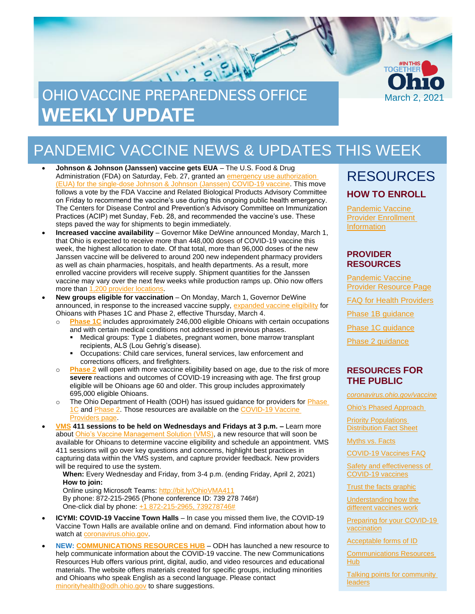

## PANDEMIC VACCINE NEWS & UPDATES THIS WEEK

- **Johnson & Johnson (Janssen) vaccine gets EUA** The U.S. Food & Drug Administration (FDA) on Saturday, Feb. 27, granted an [emergency use authorization](https://www.fda.gov/emergency-preparedness-and-response/coronavirus-disease-2019-covid-19/janssen-covid-19-vaccine)  [\(EUA\) for the single-dose Johnson & Johnson \(Janssen\) COVID-19 vaccine.](https://www.fda.gov/emergency-preparedness-and-response/coronavirus-disease-2019-covid-19/janssen-covid-19-vaccine) This move follows a vote by the FDA Vaccine and Related Biological Products Advisory Committee on Friday to recommend the vaccine's use during this ongoing public health emergency. The Centers for Disease Control and Prevention's Advisory Committee on Immunization Practices (ACIP) met Sunday, Feb. 28, and recommended the vaccine's use. These steps paved the way for shipments to begin immediately.
- **Increased vaccine availability** Governor Mike DeWine announced Monday, March 1, that Ohio is expected to receive more than 448,000 doses of COVID-19 vaccine this week, the highest allocation to date. Of that total, more than 96,000 doses of the new Janssen vaccine will be delivered to around 200 new independent pharmacy providers as well as chain pharmacies, hospitals, and health departments. As a result, more enrolled vaccine providers will receive supply. Shipment quantities for the Janssen vaccine may vary over the next few weeks while production ramps up. Ohio now offers more than [1,200 provider locations.](https://vaccine.coronavirus.ohio.gov/)
- **New groups eligible for vaccination** On Monday, March 1, Governor DeWine announced, in response to the increased vaccine supply, [expanded vaccine eligibility](https://coronavirus.ohio.gov/static/vaccine/general_fact_sheet.pdf) for Ohioans with Phases 1C and Phase 2, effective Thursday, March 4.
	- o **[Phase 1C](http://coronavirus.ohio.gov/static/vaccine/phase-1c-fact-sheet.pdf)** includes approximately 246,000 eligible Ohioans with certain occupations and with certain medical conditions not addressed in previous phases.
		- Medical groups: Type 1 diabetes, pregnant women, bone marrow transplant recipients, ALS (Lou Gehrig's disease).
		- Occupations: Child care services, funeral services, law enforcement and corrections officers, and firefighters.
	- o **[Phase 2](http://coronavirus.ohio.gov/static/vaccine/phase-2-fact-sheet.pdf)** will open with more vaccine eligibility based on age, due to the risk of more **severe** reactions and outcomes of COVID-19 increasing with age. The first group eligible will be Ohioans age 60 and older. This group includes approximately 695,000 eligible Ohioans.
	- o The Ohio Department of Health (ODH) has issued guidance for providers for [Phase](https://odh.ohio.gov/static/covid19/vaccine-providers/phase-1c-provider-guidance.pdf)  [1C](https://odh.ohio.gov/static/covid19/vaccine-providers/phase-1c-provider-guidance.pdf) an[d Phase 2.](https://odh.ohio.gov/static/covid19/vaccine-providers/phase-2-provider-guidance.pdf) Those resources are available on the [COVID-19 Vaccine](https://odh.ohio.gov/wps/portal/gov/odh/know-our-programs/covid-19-vaccine-provider/covid-19-vaccine-provider)  [Providers page.](https://odh.ohio.gov/wps/portal/gov/odh/know-our-programs/covid-19-vaccine-provider/covid-19-vaccine-provider)
- **[VMS](https://odh.ohio.gov/wps/portal/gov/odh/know-our-programs/covid-19-vaccine-provider/vms-training) 411 sessions to be held on Wednesdays and Fridays at 3 p.m. –** Learn more about [Ohio's Vaccine Management Solution \(VMS\),](https://odh.ohio.gov/static/covid19/vaccine-providers/vms-fact-sheet.pdf) a new resource that will soon be available for Ohioans to determine vaccine eligibility and schedule an appointment. VMS 411 sessions will go over key questions and concerns, highlight best practices in capturing data within the VMS system, and capture provider feedback. New providers will be required to use the system.

**When:** Every Wednesday and Friday, from 3-4 p.m. (ending Friday, April 2, 2021) **How to join:**

Online using Microsoft Teams: http://bit.ly/OhioVMA411 By phone: 872-215-2965 (Phone conference ID: 739 278 746#) One-click dial by phone[: +1 872-215-2965,](tel:+18722152965,,739278746# ) 739278746#

- **ICYMI: COVID-19 Vaccine Town Halls**  In case you missed them live, the COVID-19 Vaccine Town Halls are available online and on demand. Find information about how to watch at coronavirus.ohio.gov
- **NEW: [COMMUNICATIONS RESOURCES HUB](https://coronavirus.ohio.gov/wps/portal/gov/covid-19/health-equity/communications-resources-hub/communications-resources-hub)** ODH has launched a new resource to help communicate information about the COVID-19 vaccine. The new Communications Resources Hub offers various print, digital, audio, and video resources and educational materials. The website offers materials created for specific groups, including minorities and Ohioans who speak English as a second language. Please contact [minorityhealth@odh.ohio.gov](mailto:minorityhealth@odh.ohio.gov) to share suggestions.

### RESOURCES **HOW TO ENROLL**

**Pandemic Vaccine** [Provider Enrollment](https://odh.ohio.gov/wps/portal/gov/odh/know-our-programs/immunization/pandemic-vaccine-provider/ohio-covid-19-provider-enrollment)  **[Information](https://odh.ohio.gov/wps/portal/gov/odh/know-our-programs/immunization/pandemic-vaccine-provider/ohio-covid-19-provider-enrollment)** 

#### **PROVIDER RESOURCES**

[Pandemic](https://odh.ohio.gov/wps/portal/gov/odh/know-our-programs/Immunization/pandemic-vaccine-provider) Vaccine [Provider Resource Page](https://odh.ohio.gov/wps/portal/gov/odh/know-our-programs/Immunization/pandemic-vaccine-provider)

FAQ for Health [Providers](https://coronavirus.ohio.gov/static/docs/Enrollment-Information-FAQ.pdf)

[Phase 1B guidance](https://odh.ohio.gov/static/covid19/vaccine-providers/phase-1b-of-covid-19-vaccine-distribution.pdf)

[Phase 1C guidance](https://odh.ohio.gov/static/covid19/vaccine-providers/phase-1c-provider-guidance.pdf)

[Phase 2 guidance](https://odh.ohio.gov/static/covid19/vaccine-providers/phase-2-provider-guidance.pdf)

#### **RESOURCES FOR THE PUBLIC**

*[coronavirus.ohio.gov/vaccine](https://coronavirus.ohio.gov/vaccine)*

[Ohio's Phased Approach](https://coronavirus.ohio.gov/static/vaccine/phased_approach_ohio.jpg) 

[Priority Populations](https://coronavirus.ohio.gov/static/vaccine/general_fact_sheet.pdf)  [Distribution Fact Sheet](https://coronavirus.ohio.gov/static/vaccine/general_fact_sheet.pdf)

[Myths vs. Facts](https://coronavirus.ohio.gov/wps/portal/gov/covid-19/covid-19-vaccination-program/19-vaccine-myths-vs-facts/19-vaccine-myths-vs-facts)

[COVID-19 Vaccines FAQ](https://coronavirus.ohio.gov/wps/portal/gov/covid-19/resources/general-resources/frequently-asked-questions+covid-19-vaccine)

[Safety and effectiveness of](https://coronavirus.ohio.gov/static/vaccine/covid-19-vaccine-safety.pdf)  [COVID-19 vaccines](https://coronavirus.ohio.gov/static/vaccine/covid-19-vaccine-safety.pdf)

[Trust the facts graphic](https://coronavirus.ohio.gov/static/vaccine/trust_the_facts_full.jpg)

[Understanding how the](https://coronavirus.ohio.gov/static/vaccine/covid-19-how-vaccines-work.pdf)  [different vaccines work](https://coronavirus.ohio.gov/static/vaccine/covid-19-how-vaccines-work.pdf)

[Preparing for your COVID-19](https://coronavirus.ohio.gov/static/vaccine/covid-19-fact-sheet-vaccine-appointment.pdf)  [vaccination](https://coronavirus.ohio.gov/static/vaccine/covid-19-fact-sheet-vaccine-appointment.pdf)

[Acceptable forms of ID](https://coronavirus.ohio.gov/static/vaccine/covid-19-fact-sheet-forms-of-id.pdf)

[Communications Resources](https://coronavirus.ohio.gov/wps/portal/gov/covid-19/health-equity/communications-resources-hub/communications-resources-hub)  [Hub](https://coronavirus.ohio.gov/wps/portal/gov/covid-19/health-equity/communications-resources-hub/communications-resources-hub)

[Talking points for community](https://coronavirus.ohio.gov/static/vaccine/community_leader_talking_points.pdf)  [leaders](https://coronavirus.ohio.gov/static/vaccine/community_leader_talking_points.pdf)